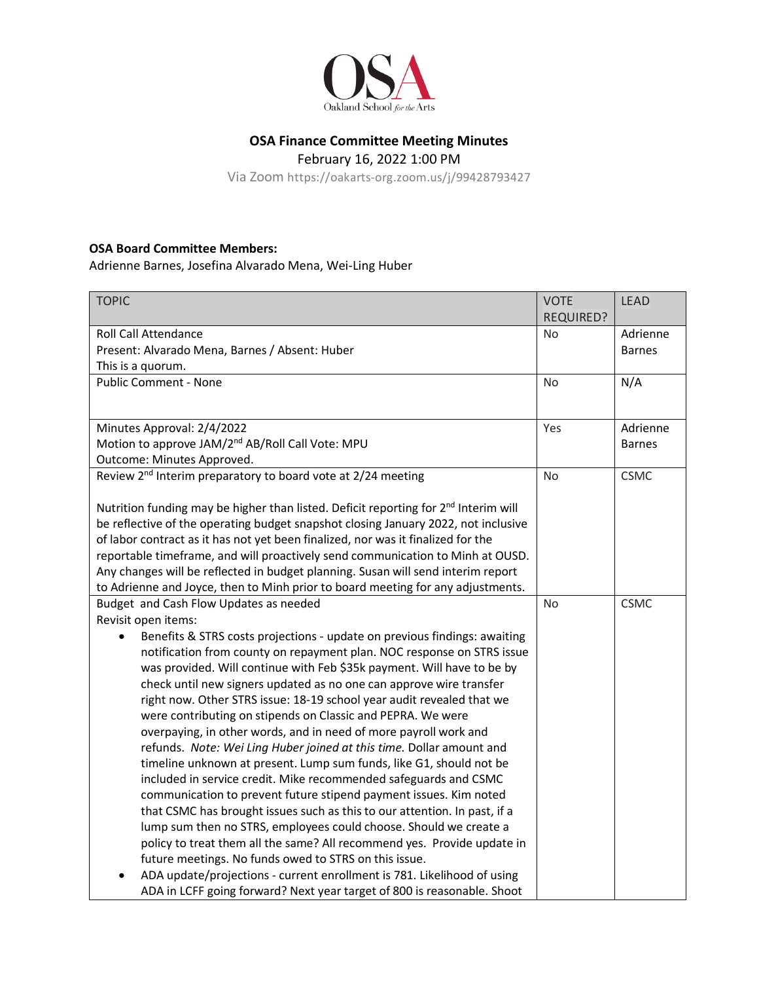

## **OSA Finance Committee Meeting Minutes**

February 16, 2022 1:00 PM

Via Zoom https://oakarts-org.zoom.us/j/99428793427

## **OSA Board Committee Members:**

Adrienne Barnes, Josefina Alvarado Mena, Wei-Ling Huber

| <b>TOPIC</b>                                                                                                                                                                                                                                                                                                                                                                                                                                                                                                                                                                                                                                                                                                                                                                                                                                                                                                                                                                                                                                                                                   | <b>VOTE</b><br><b>REQUIRED?</b> | <b>LEAD</b>   |
|------------------------------------------------------------------------------------------------------------------------------------------------------------------------------------------------------------------------------------------------------------------------------------------------------------------------------------------------------------------------------------------------------------------------------------------------------------------------------------------------------------------------------------------------------------------------------------------------------------------------------------------------------------------------------------------------------------------------------------------------------------------------------------------------------------------------------------------------------------------------------------------------------------------------------------------------------------------------------------------------------------------------------------------------------------------------------------------------|---------------------------------|---------------|
| <b>Roll Call Attendance</b>                                                                                                                                                                                                                                                                                                                                                                                                                                                                                                                                                                                                                                                                                                                                                                                                                                                                                                                                                                                                                                                                    | <b>No</b>                       | Adrienne      |
| Present: Alvarado Mena, Barnes / Absent: Huber                                                                                                                                                                                                                                                                                                                                                                                                                                                                                                                                                                                                                                                                                                                                                                                                                                                                                                                                                                                                                                                 |                                 | <b>Barnes</b> |
| This is a quorum.                                                                                                                                                                                                                                                                                                                                                                                                                                                                                                                                                                                                                                                                                                                                                                                                                                                                                                                                                                                                                                                                              |                                 |               |
| <b>Public Comment - None</b>                                                                                                                                                                                                                                                                                                                                                                                                                                                                                                                                                                                                                                                                                                                                                                                                                                                                                                                                                                                                                                                                   | No                              | N/A           |
|                                                                                                                                                                                                                                                                                                                                                                                                                                                                                                                                                                                                                                                                                                                                                                                                                                                                                                                                                                                                                                                                                                |                                 |               |
| Minutes Approval: 2/4/2022                                                                                                                                                                                                                                                                                                                                                                                                                                                                                                                                                                                                                                                                                                                                                                                                                                                                                                                                                                                                                                                                     | Yes                             | Adrienne      |
| Motion to approve JAM/2 <sup>nd</sup> AB/Roll Call Vote: MPU                                                                                                                                                                                                                                                                                                                                                                                                                                                                                                                                                                                                                                                                                                                                                                                                                                                                                                                                                                                                                                   |                                 | <b>Barnes</b> |
| Outcome: Minutes Approved.                                                                                                                                                                                                                                                                                                                                                                                                                                                                                                                                                                                                                                                                                                                                                                                                                                                                                                                                                                                                                                                                     |                                 |               |
| Review 2 <sup>nd</sup> Interim preparatory to board vote at 2/24 meeting                                                                                                                                                                                                                                                                                                                                                                                                                                                                                                                                                                                                                                                                                                                                                                                                                                                                                                                                                                                                                       | <b>No</b>                       | <b>CSMC</b>   |
| Nutrition funding may be higher than listed. Deficit reporting for 2 <sup>nd</sup> Interim will<br>be reflective of the operating budget snapshot closing January 2022, not inclusive<br>of labor contract as it has not yet been finalized, nor was it finalized for the<br>reportable timeframe, and will proactively send communication to Minh at OUSD.<br>Any changes will be reflected in budget planning. Susan will send interim report<br>to Adrienne and Joyce, then to Minh prior to board meeting for any adjustments.                                                                                                                                                                                                                                                                                                                                                                                                                                                                                                                                                             |                                 |               |
| Budget and Cash Flow Updates as needed                                                                                                                                                                                                                                                                                                                                                                                                                                                                                                                                                                                                                                                                                                                                                                                                                                                                                                                                                                                                                                                         | No                              | <b>CSMC</b>   |
| Revisit open items:                                                                                                                                                                                                                                                                                                                                                                                                                                                                                                                                                                                                                                                                                                                                                                                                                                                                                                                                                                                                                                                                            |                                 |               |
| Benefits & STRS costs projections - update on previous findings: awaiting<br>notification from county on repayment plan. NOC response on STRS issue<br>was provided. Will continue with Feb \$35k payment. Will have to be by<br>check until new signers updated as no one can approve wire transfer<br>right now. Other STRS issue: 18-19 school year audit revealed that we<br>were contributing on stipends on Classic and PEPRA. We were<br>overpaying, in other words, and in need of more payroll work and<br>refunds. Note: Wei Ling Huber joined at this time. Dollar amount and<br>timeline unknown at present. Lump sum funds, like G1, should not be<br>included in service credit. Mike recommended safeguards and CSMC<br>communication to prevent future stipend payment issues. Kim noted<br>that CSMC has brought issues such as this to our attention. In past, if a<br>lump sum then no STRS, employees could choose. Should we create a<br>policy to treat them all the same? All recommend yes. Provide update in<br>future meetings. No funds owed to STRS on this issue. |                                 |               |
| ADA update/projections - current enrollment is 781. Likelihood of using<br>ADA in LCFF going forward? Next year target of 800 is reasonable. Shoot                                                                                                                                                                                                                                                                                                                                                                                                                                                                                                                                                                                                                                                                                                                                                                                                                                                                                                                                             |                                 |               |